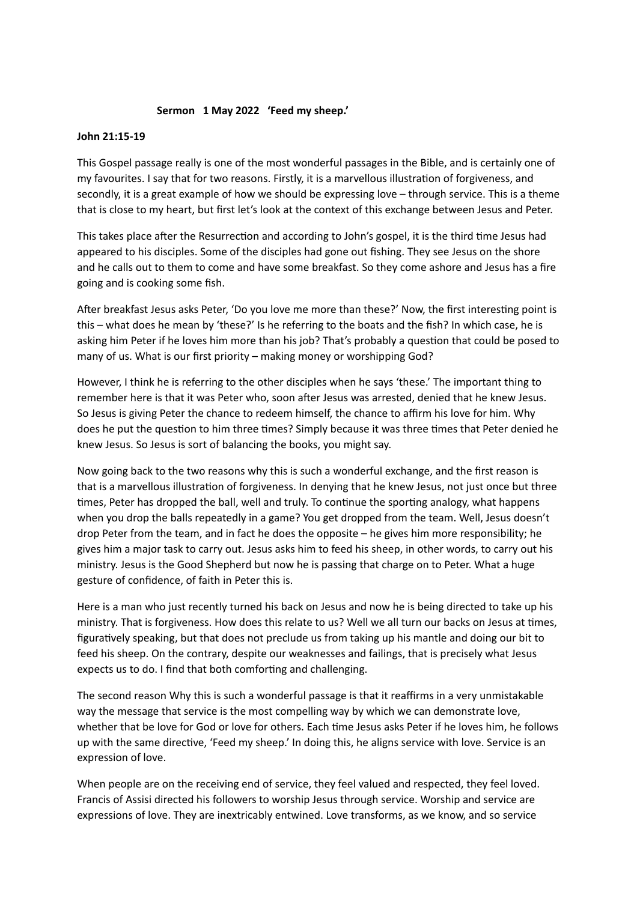## **Sermon 1 May 2022 'Feed my sheep.'**

## **John 21:15-19**

This Gospel passage really is one of the most wonderful passages in the Bible, and is certainly one of my favourites. I say that for two reasons. Firstly, it is a marvellous illustration of forgiveness, and secondly, it is a great example of how we should be expressing love – through service. This is a theme that is close to my heart, but first let's look at the context of this exchange between Jesus and Peter.

This takes place after the Resurrection and according to John's gospel, it is the third time Jesus had appeared to his disciples. Some of the disciples had gone out fishing. They see Jesus on the shore and he calls out to them to come and have some breakfast. So they come ashore and Jesus has a fire going and is cooking some fish.

After breakfast Jesus asks Peter, 'Do you love me more than these?' Now, the first interesting point is this – what does he mean by 'these?' Is he referring to the boats and the fish? In which case, he is asking him Peter if he loves him more than his job? That's probably a question that could be posed to many of us. What is our first priority – making money or worshipping God?

However, I think he is referring to the other disciples when he says 'these.' The important thing to remember here is that it was Peter who, soon after Jesus was arrested, denied that he knew Jesus. So Jesus is giving Peter the chance to redeem himself, the chance to affirm his love for him. Why does he put the question to him three times? Simply because it was three times that Peter denied he knew Jesus. So Jesus is sort of balancing the books, you might say.

Now going back to the two reasons why this is such a wonderful exchange, and the first reason is that is a marvellous illustration of forgiveness. In denying that he knew Jesus, not just once but three times, Peter has dropped the ball, well and truly. To continue the sporting analogy, what happens when you drop the balls repeatedly in a game? You get dropped from the team. Well, Jesus doesn't drop Peter from the team, and in fact he does the opposite – he gives him more responsibility; he gives him a major task to carry out. Jesus asks him to feed his sheep, in other words, to carry out his ministry. Jesus is the Good Shepherd but now he is passing that charge on to Peter. What a huge gesture of confidence, of faith in Peter this is.

Here is a man who just recently turned his back on Jesus and now he is being directed to take up his ministry. That is forgiveness. How does this relate to us? Well we all turn our backs on Jesus at times, figuratively speaking, but that does not preclude us from taking up his mantle and doing our bit to feed his sheep. On the contrary, despite our weaknesses and failings, that is precisely what Jesus expects us to do. I find that both comforting and challenging.

The second reason Why this is such a wonderful passage is that it reaffirms in a very unmistakable way the message that service is the most compelling way by which we can demonstrate love, whether that be love for God or love for others. Each time Jesus asks Peter if he loves him, he follows up with the same directive, 'Feed my sheep.' In doing this, he aligns service with love. Service is an expression of love.

When people are on the receiving end of service, they feel valued and respected, they feel loved. Francis of Assisi directed his followers to worship Jesus through service. Worship and service are expressions of love. They are inextricably entwined. Love transforms, as we know, and so service